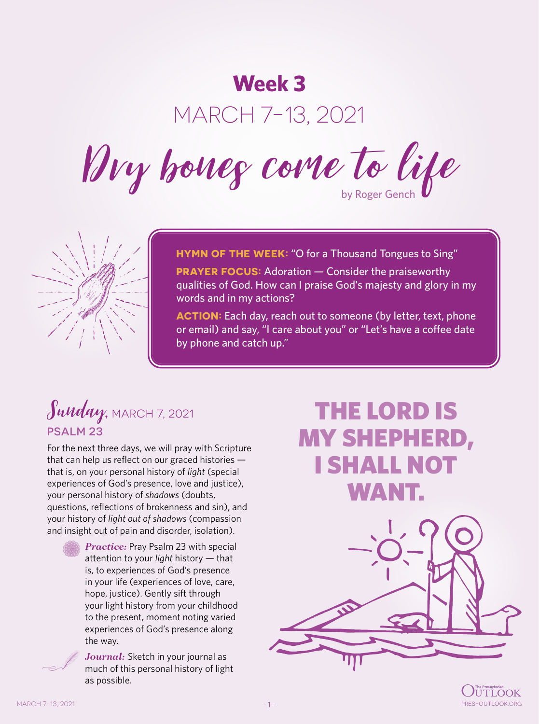# **Week 3**

# MARCH 7-13, 2021

Dry bones come to life



**HYMN OF THE WEEK:** "O for a Thousand Tongues to Sing"

**PRAYER FOCUS:** Adoration — Consider the praiseworthy qualities of God. How can I praise God's majesty and glory in my words and in my actions?

**ACTION:** Each day, reach out to someone (by letter, text, phone or email) and say, "I care about you" or "Let's have a coffee date by phone and catch up."

## Sunday, MARCH 7, 2021 PSALM 23

For the next three days, we will pray with Scripture that can help us reflect on our graced histories that is, on your personal history of *light* (special experiences of God's presence, love and justice), your personal history of *shadows* (doubts, questions, reflections of brokenness and sin), and your history of *light out of shadows* (compassion and insight out of pain and disorder, isolation).



*Practice:* Pray Psalm 23 with special attention to your *light* history — that is, to experiences of God's presence in your life (experiences of love, care, hope, justice). Gently sift through your light history from your childhood to the present, moment noting varied experiences of God's presence along the way.

*Journal:* Sketch in your journal as much of this personal history of light as possible.

# THE LORD IS MY SHEPHERD, I SHALL NOT WANT.



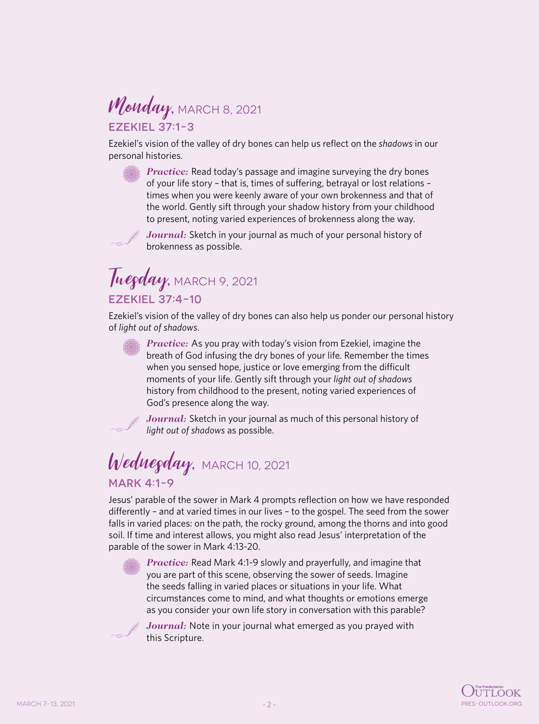#### Monday, MARCH 8, 2021 EZEKIEL 37:1-3

Ezekiel's vision of the valley of dry bones can help us reflect on the *shadows* in our personal histories.

> *Practice:* Read today's passage and imagine surveying the dry bones of your life story – that is, times of suffering, betrayal or lost relations – times when you were keenly aware of your own brokenness and that of the world. Gently sift through your shadow history from your childhood to present, noting varied experiences of brokenness along the way.

*Journal:* Sketch in your journal as much of your personal history of brokenness as possible.

#### Tuegday, MARCH 9, 2021 EZEKIEL 37:4-10

Ezekiel's vision of the valley of dry bones can also help us ponder our personal history of *light out of shadows*.

*Practice:* As you pray with today's vision from Ezekiel, imagine the breath of God infusing the dry bones of your life. Remember the times when you sensed hope, justice or love emerging from the difficult moments of your life. Gently sift through your *light out of shadows* history from childhood to the present, noting varied experiences of God's presence along the way.



*Journal:* Sketch in your journal as much of this personal history of *light out of shadows* as possible.

## Wednegday, MARCH 10, 2021 MARK 4:1-9

Jesus' parable of the sower in Mark 4 prompts reflection on how we have responded differently – and at varied times in our lives – to the gospel. The seed from the sower falls in varied places: on the path, the rocky ground, among the thorns and into good soil. If time and interest allows, you might also read Jesus' interpretation of the parable of the sower in Mark 4:13-20.



*Practice:* Read Mark 4:1-9 slowly and prayerfully, and imagine that you are part of this scene, observing the sower of seeds. Imagine the seeds falling in varied places or situations in your life. What circumstances come to mind, and what thoughts or emotions emerge as you consider your own life story in conversation with this parable?



*Journal:* Note in your journal what emerged as you prayed with this Scripture.